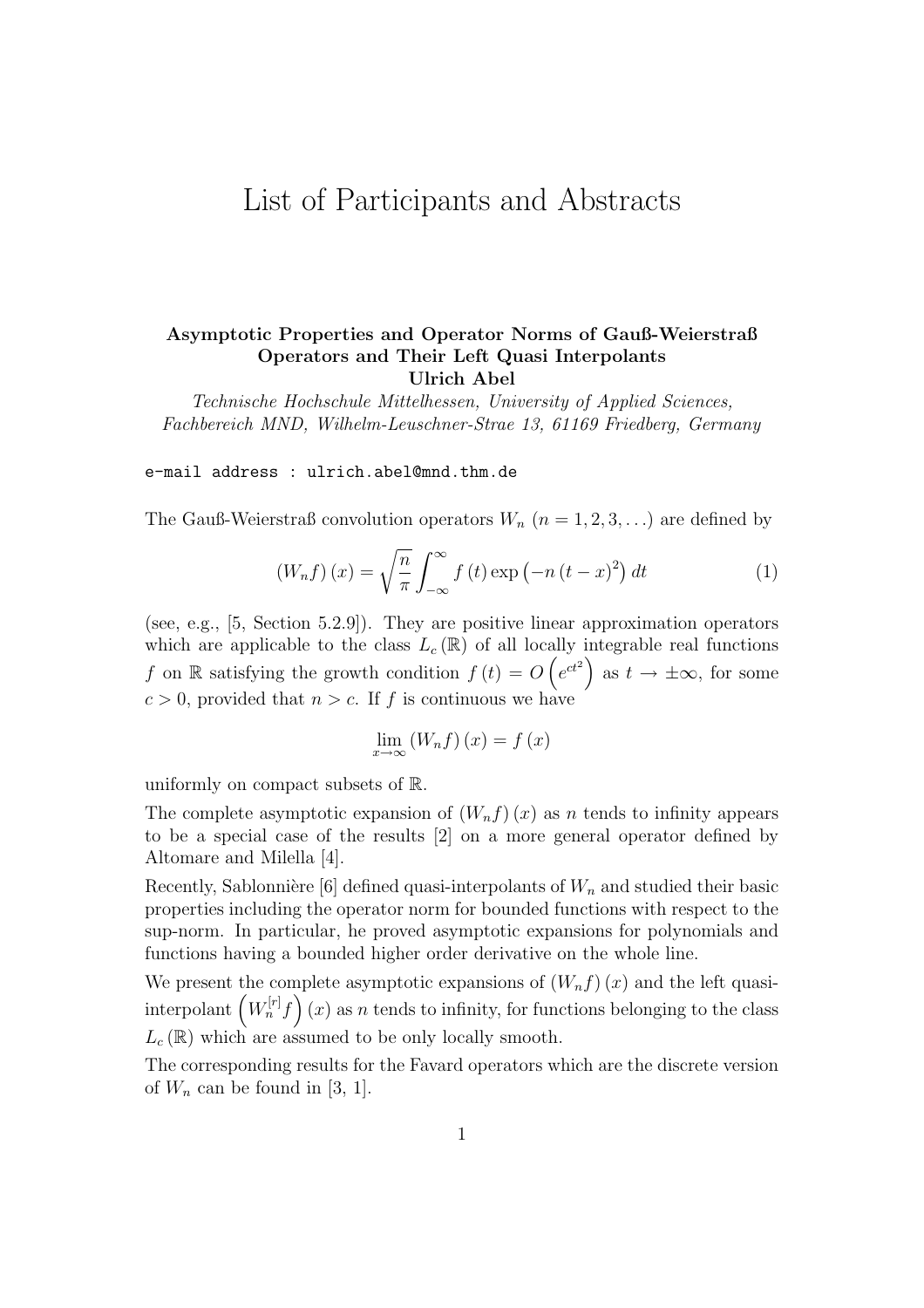# List of Participants and Abstracts

### Asymptotic Properties and Operator Norms of Gauß-Weierstraß Operators and Their Left Quasi Interpolants Ulrich Abel

Technische Hochschule Mittelhessen, University of Applied Sciences, Fachbereich MND, Wilhelm-Leuschner-Strae 13, 61169 Friedberg, Germany

e-mail address : ulrich.abel@mnd.thm.de

The Gauß-Weierstraß convolution operators  $W_n$   $(n = 1, 2, 3, ...)$  are defined by

$$
(W_n f)(x) = \sqrt{\frac{n}{\pi}} \int_{-\infty}^{\infty} f(t) \exp(-n(t-x)^2) dt
$$
 (1)

(see, e.g., [5, Section 5.2.9]). They are positive linear approximation operators which are applicable to the class  $L_c(\mathbb{R})$  of all locally integrable real functions f on R satisfying the growth condition  $f(t) = O(e^{ct^2})$  as  $t \to \pm \infty$ , for some  $c > 0$ , provided that  $n > c$ . If f is continuous we have

$$
\lim_{x \to \infty} (W_n f)(x) = f(x)
$$

uniformly on compact subsets of R.

The complete asymptotic expansion of  $(W_nf)(x)$  as n tends to infinity appears to be a special case of the results [2] on a more general operator defined by Altomare and Milella [4].

Recently, Sablonnière [6] defined quasi-interpolants of  $W_n$  and studied their basic properties including the operator norm for bounded functions with respect to the sup-norm. In particular, he proved asymptotic expansions for polynomials and functions having a bounded higher order derivative on the whole line.

We present the complete asymptotic expansions of  $(W_n f)(x)$  and the left quasi-We present the complete asymptotic expansions of  $(W_n f)(x)$  and the left quasi-<br>interpolant  $(W_n^{[r]}f)(x)$  as n tends to infinity, for functions belonging to the class  $L_{c}\left( \mathbb{R}\right)$  which are assumed to be only locally smooth.

The corresponding results for the Favard operators which are the discrete version of  $W_n$  can be found in [3, 1].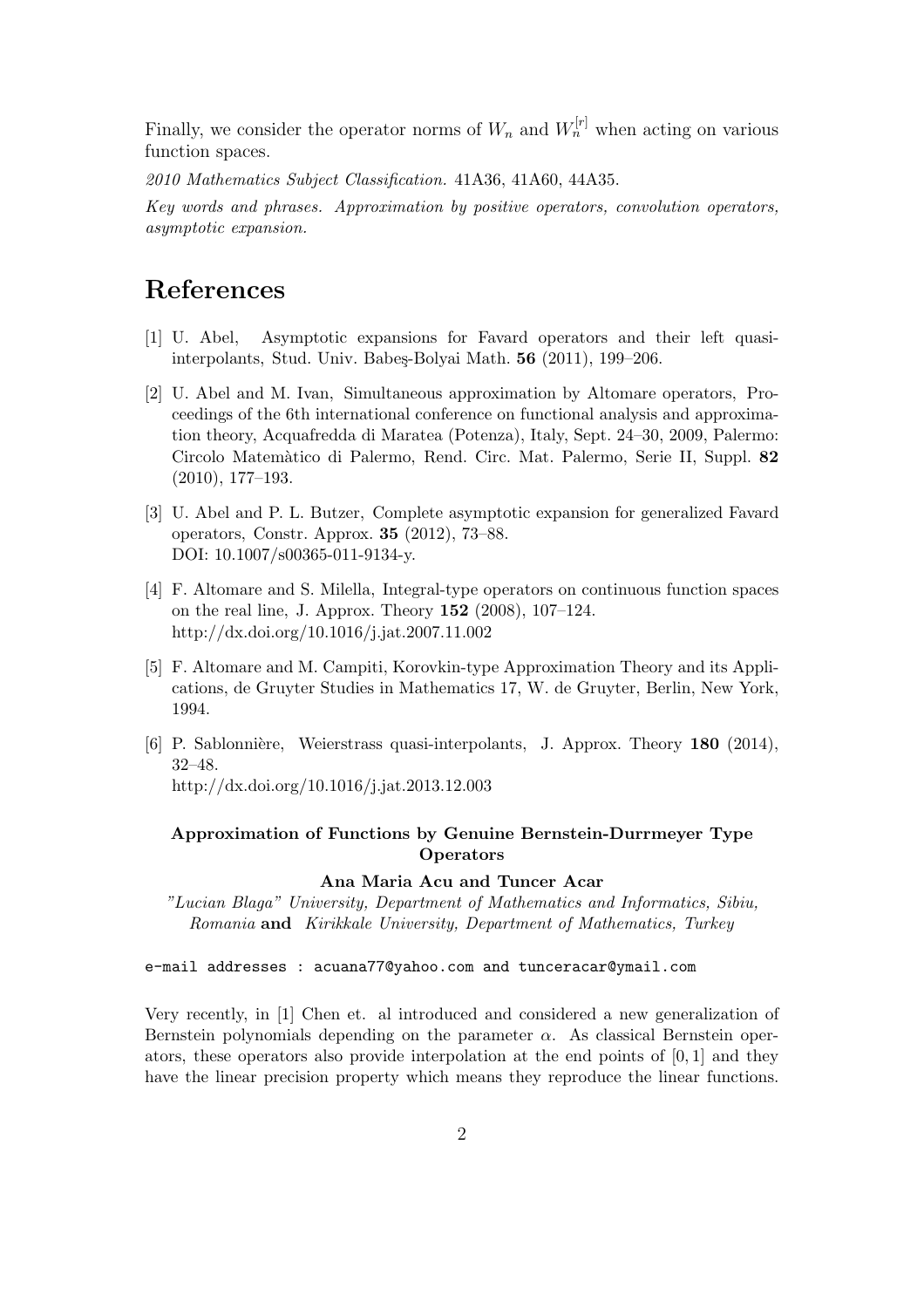Finally, we consider the operator norms of  $W_n$  and  $W_n^{[r]}$  when acting on various function spaces.

2010 Mathematics Subject Classification. 41A36, 41A60, 44A35.

Key words and phrases. Approximation by positive operators, convolution operators, asymptotic expansion.

## References

- [1] U. Abel, Asymptotic expansions for Favard operators and their left quasiinterpolants, Stud. Univ. Babeş-Bolyai Math. 56 (2011), 199–206.
- [2] U. Abel and M. Ivan, Simultaneous approximation by Altomare operators, Proceedings of the 6th international conference on functional analysis and approximation theory, Acquafredda di Maratea (Potenza), Italy, Sept. 24–30, 2009, Palermo: Circolo Matem`atico di Palermo, Rend. Circ. Mat. Palermo, Serie II, Suppl. 82 (2010), 177–193.
- [3] U. Abel and P. L. Butzer, Complete asymptotic expansion for generalized Favard operators, Constr. Approx. 35 (2012), 73–88. DOI: 10.1007/s00365-011-9134-y.
- [4] F. Altomare and S. Milella, Integral-type operators on continuous function spaces on the real line, J. Approx. Theory 152 (2008), 107–124. http://dx.doi.org/10.1016/j.jat.2007.11.002
- [5] F. Altomare and M. Campiti, Korovkin-type Approximation Theory and its Applications, de Gruyter Studies in Mathematics 17, W. de Gruyter, Berlin, New York, 1994.
- [6] P. Sablonnière, Weierstrass quasi-interpolants, J. Approx. Theory 180 (2014), 32–48.

http://dx.doi.org/10.1016/j.jat.2013.12.003

### Approximation of Functions by Genuine Bernstein-Durrmeyer Type **Operators**

#### Ana Maria Acu and Tuncer Acar

"Lucian Blaga" University, Department of Mathematics and Informatics, Sibiu, Romania and Kirikkale University, Department of Mathematics, Turkey

#### e-mail addresses : acuana77@yahoo.com and tunceracar@ymail.com

Very recently, in [1] Chen et. al introduced and considered a new generalization of Bernstein polynomials depending on the parameter  $\alpha$ . As classical Bernstein operators, these operators also provide interpolation at the end points of [0, 1] and they have the linear precision property which means they reproduce the linear functions.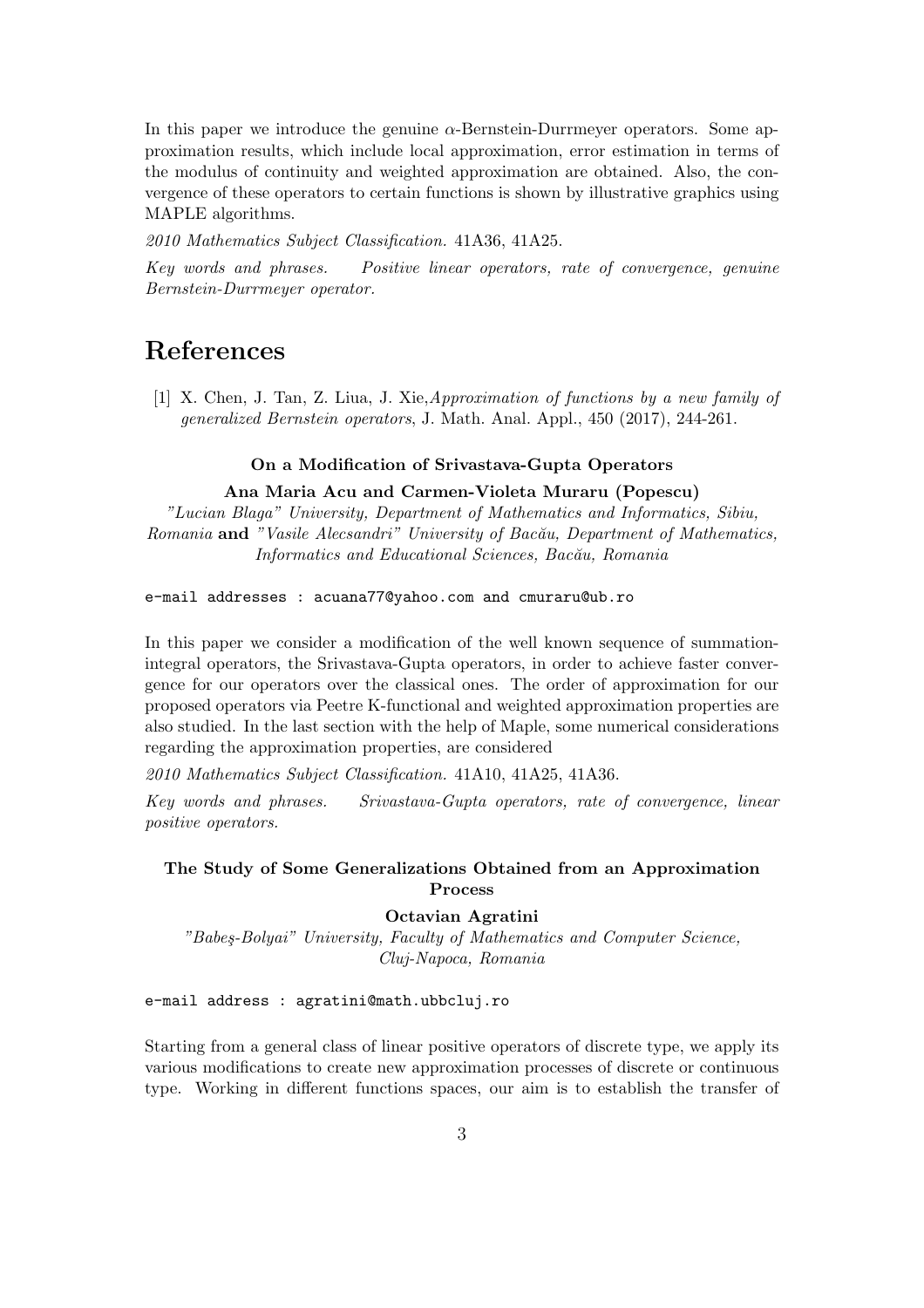In this paper we introduce the genuine  $\alpha$ -Bernstein-Durrmeyer operators. Some approximation results, which include local approximation, error estimation in terms of the modulus of continuity and weighted approximation are obtained. Also, the convergence of these operators to certain functions is shown by illustrative graphics using MAPLE algorithms.

2010 Mathematics Subject Classification. 41A36, 41A25.

Key words and phrases. Positive linear operators, rate of convergence, genuine Bernstein-Durrmeyer operator.

# References

[1] X. Chen, J. Tan, Z. Liua, J. Xie,Approximation of functions by a new family of generalized Bernstein operators, J. Math. Anal. Appl., 450 (2017), 244-261.

#### On a Modification of Srivastava-Gupta Operators

#### Ana Maria Acu and Carmen-Violeta Muraru (Popescu)

"Lucian Blaga" University, Department of Mathematics and Informatics, Sibiu, Romania and "Vasile Alecsandri" University of Bacău, Department of Mathematics, Informatics and Educational Sciences, Bacău, Romania

e-mail addresses : acuana77@yahoo.com and cmuraru@ub.ro

In this paper we consider a modification of the well known sequence of summationintegral operators, the Srivastava-Gupta operators, in order to achieve faster convergence for our operators over the classical ones. The order of approximation for our proposed operators via Peetre K-functional and weighted approximation properties are also studied. In the last section with the help of Maple, some numerical considerations regarding the approximation properties, are considered

2010 Mathematics Subject Classification. 41A10, 41A25, 41A36.

Key words and phrases. Srivastava-Gupta operators, rate of convergence, linear positive operators.

#### The Study of Some Generalizations Obtained from an Approximation Process

#### Octavian Agratini

"Babeş-Bolyai" University, Faculty of Mathematics and Computer Science, Cluj-Napoca, Romania

e-mail address : agratini@math.ubbcluj.ro

Starting from a general class of linear positive operators of discrete type, we apply its various modifications to create new approximation processes of discrete or continuous type. Working in different functions spaces, our aim is to establish the transfer of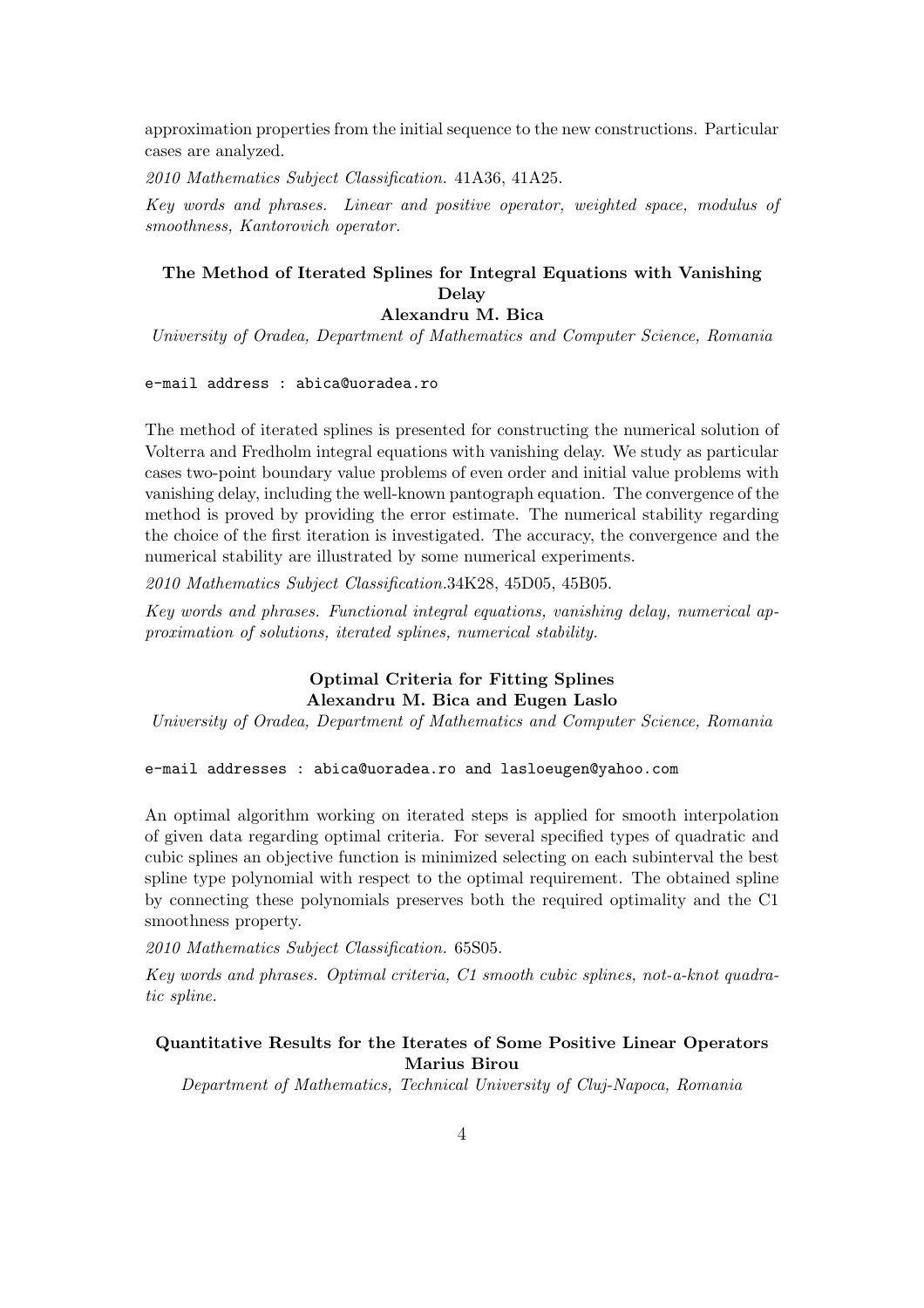approximation properties from the initial sequence to the new constructions. Particular cases are analyzed.

2010 Mathematics Subject Classification. 41A36, 41A25.

Key words and phrases. Linear and positive operator, weighted space, modulus of smoothness, Kantorovich operator.

### The Method of Iterated Splines for Integral Equations with Vanishing Delay

### Alexandru M. Bica

University of Oradea, Department of Mathematics and Computer Science, Romania

e-mail address : abica@uoradea.ro

The method of iterated splines is presented for constructing the numerical solution of Volterra and Fredholm integral equations with vanishing delay. We study as particular cases two-point boundary value problems of even order and initial value problems with vanishing delay, including the well-known pantograph equation. The convergence of the method is proved by providing the error estimate. The numerical stability regarding the choice of the first iteration is investigated. The accuracy, the convergence and the numerical stability are illustrated by some numerical experiments.

2010 Mathematics Subject Classification.34K28, 45D05, 45B05.

Key words and phrases. Functional integral equations, vanishing delay, numerical approximation of solutions, iterated splines, numerical stability.

### Optimal Criteria for Fitting Splines Alexandru M. Bica and Eugen Laslo

University of Oradea, Department of Mathematics and Computer Science, Romania

#### e-mail addresses : abica@uoradea.ro and lasloeugen@yahoo.com

An optimal algorithm working on iterated steps is applied for smooth interpolation of given data regarding optimal criteria. For several specified types of quadratic and cubic splines an objective function is minimized selecting on each subinterval the best spline type polynomial with respect to the optimal requirement. The obtained spline by connecting these polynomials preserves both the required optimality and the C1 smoothness property.

2010 Mathematics Subject Classification. 65S05.

Key words and phrases. Optimal criteria, C1 smooth cubic splines, not-a-knot quadratic spline.

#### Quantitative Results for the Iterates of Some Positive Linear Operators Marius Birou

Department of Mathematics, Technical University of Cluj-Napoca, Romania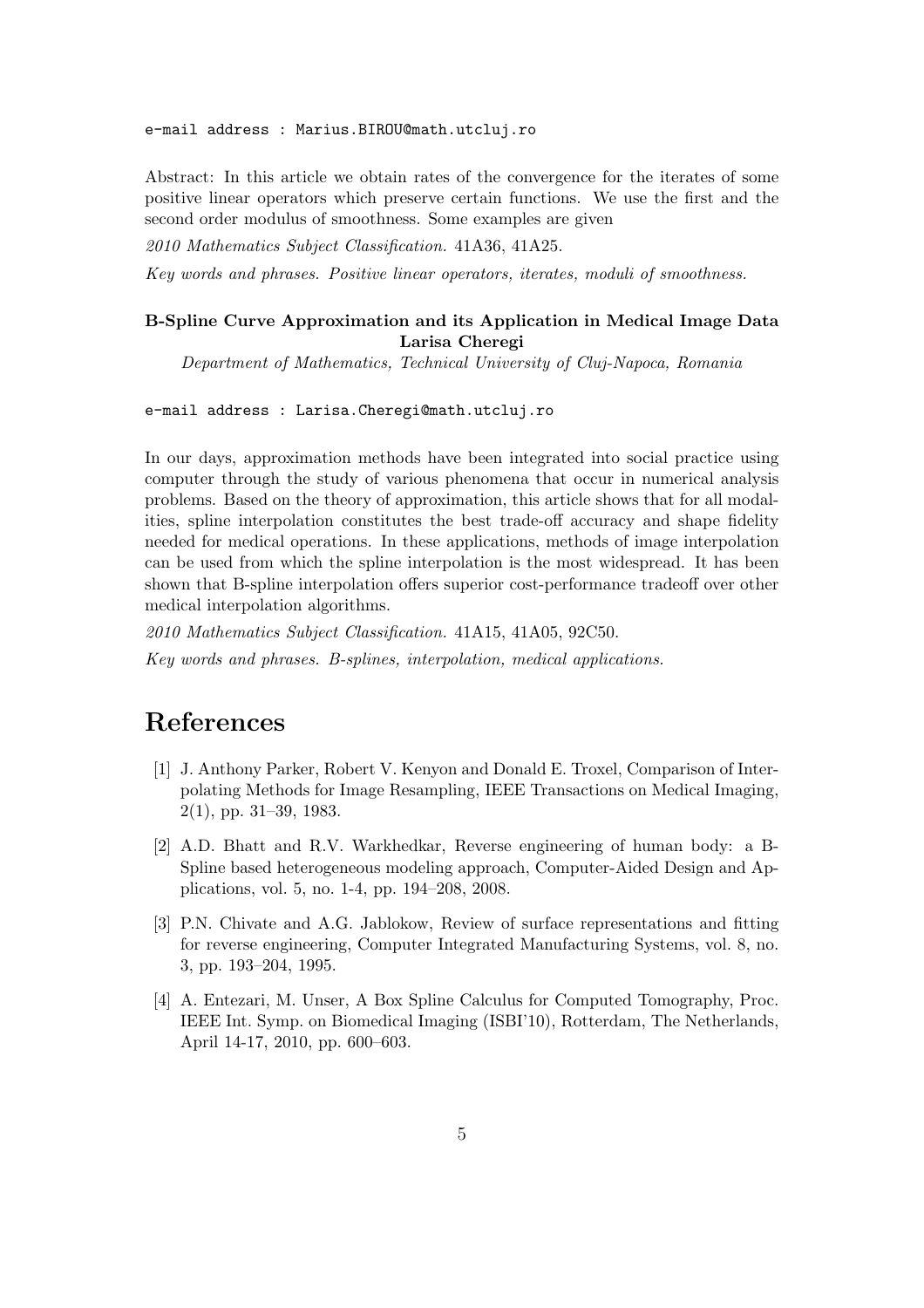e-mail address : Marius.BIROU@math.utcluj.ro

Abstract: In this article we obtain rates of the convergence for the iterates of some positive linear operators which preserve certain functions. We use the first and the second order modulus of smoothness. Some examples are given

2010 Mathematics Subject Classification. 41A36, 41A25.

Key words and phrases. Positive linear operators, iterates, moduli of smoothness.

#### B-Spline Curve Approximation and its Application in Medical Image Data Larisa Cheregi

Department of Mathematics, Technical University of Cluj-Napoca, Romania

#### e-mail address : Larisa.Cheregi@math.utcluj.ro

In our days, approximation methods have been integrated into social practice using computer through the study of various phenomena that occur in numerical analysis problems. Based on the theory of approximation, this article shows that for all modalities, spline interpolation constitutes the best trade-off accuracy and shape fidelity needed for medical operations. In these applications, methods of image interpolation can be used from which the spline interpolation is the most widespread. It has been shown that B-spline interpolation offers superior cost-performance tradeoff over other medical interpolation algorithms.

2010 Mathematics Subject Classification. 41A15, 41A05, 92C50. Key words and phrases. B-splines, interpolation, medical applications.

- [1] J. Anthony Parker, Robert V. Kenyon and Donald E. Troxel, Comparison of Interpolating Methods for Image Resampling, IEEE Transactions on Medical Imaging, 2(1), pp. 31–39, 1983.
- [2] A.D. Bhatt and R.V. Warkhedkar, Reverse engineering of human body: a B-Spline based heterogeneous modeling approach, Computer-Aided Design and Applications, vol. 5, no. 1-4, pp. 194–208, 2008.
- [3] P.N. Chivate and A.G. Jablokow, Review of surface representations and fitting for reverse engineering, Computer Integrated Manufacturing Systems, vol. 8, no. 3, pp. 193–204, 1995.
- [4] A. Entezari, M. Unser, A Box Spline Calculus for Computed Tomography, Proc. IEEE Int. Symp. on Biomedical Imaging (ISBI'10), Rotterdam, The Netherlands, April 14-17, 2010, pp. 600–603.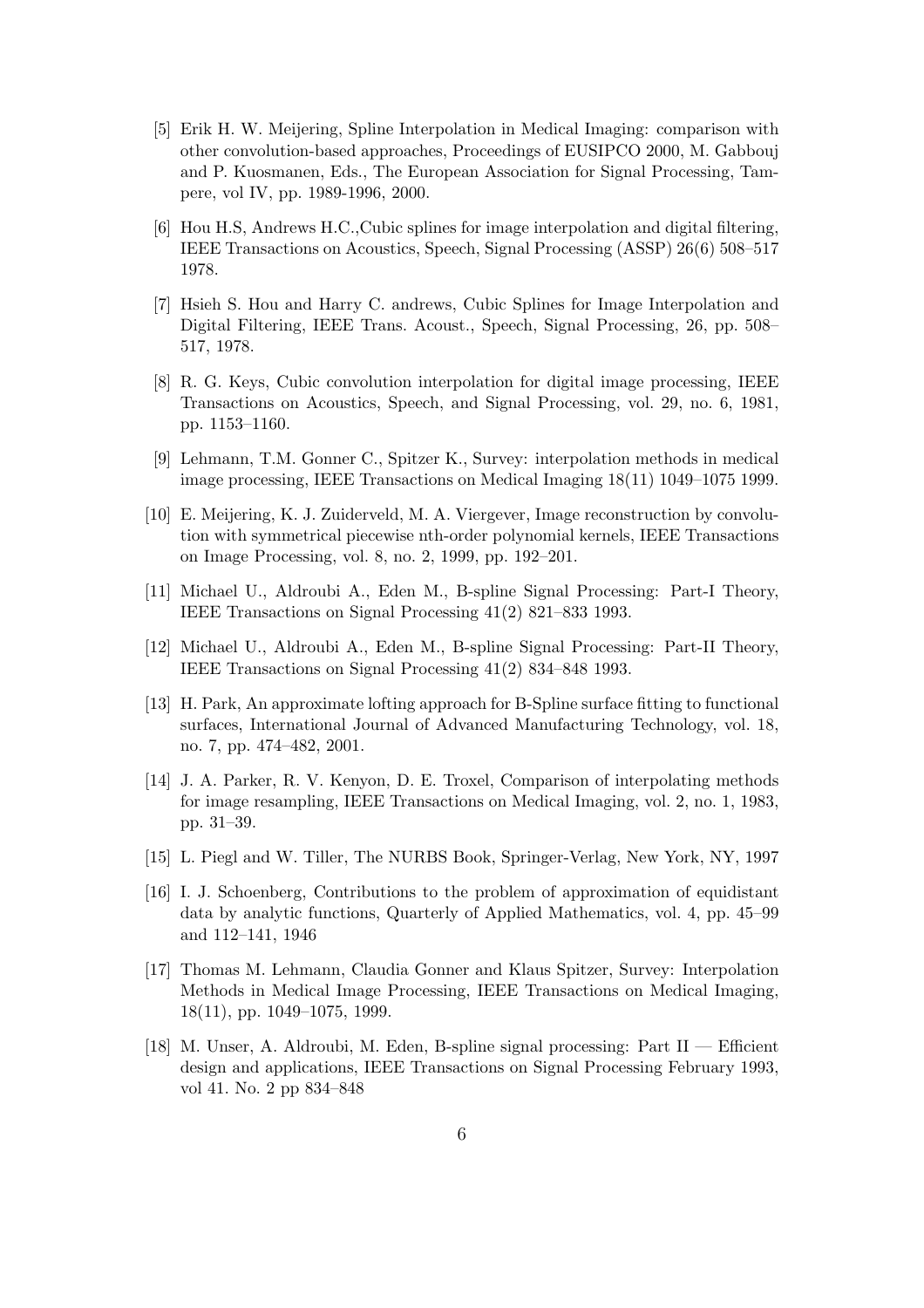- [5] Erik H. W. Meijering, Spline Interpolation in Medical Imaging: comparison with other convolution-based approaches, Proceedings of EUSIPCO 2000, M. Gabbouj and P. Kuosmanen, Eds., The European Association for Signal Processing, Tampere, vol IV, pp. 1989-1996, 2000.
- [6] Hou H.S, Andrews H.C.,Cubic splines for image interpolation and digital filtering, IEEE Transactions on Acoustics, Speech, Signal Processing (ASSP) 26(6) 508–517 1978.
- [7] Hsieh S. Hou and Harry C. andrews, Cubic Splines for Image Interpolation and Digital Filtering, IEEE Trans. Acoust., Speech, Signal Processing, 26, pp. 508– 517, 1978.
- [8] R. G. Keys, Cubic convolution interpolation for digital image processing, IEEE Transactions on Acoustics, Speech, and Signal Processing, vol. 29, no. 6, 1981, pp. 1153–1160.
- [9] Lehmann, T.M. Gonner C., Spitzer K., Survey: interpolation methods in medical image processing, IEEE Transactions on Medical Imaging 18(11) 1049–1075 1999.
- [10] E. Meijering, K. J. Zuiderveld, M. A. Viergever, Image reconstruction by convolution with symmetrical piecewise nth-order polynomial kernels, IEEE Transactions on Image Processing, vol. 8, no. 2, 1999, pp. 192–201.
- [11] Michael U., Aldroubi A., Eden M., B-spline Signal Processing: Part-I Theory, IEEE Transactions on Signal Processing 41(2) 821–833 1993.
- [12] Michael U., Aldroubi A., Eden M., B-spline Signal Processing: Part-II Theory, IEEE Transactions on Signal Processing 41(2) 834–848 1993.
- [13] H. Park, An approximate lofting approach for B-Spline surface fitting to functional surfaces, International Journal of Advanced Manufacturing Technology, vol. 18, no. 7, pp. 474–482, 2001.
- [14] J. A. Parker, R. V. Kenyon, D. E. Troxel, Comparison of interpolating methods for image resampling, IEEE Transactions on Medical Imaging, vol. 2, no. 1, 1983, pp. 31–39.
- [15] L. Piegl and W. Tiller, The NURBS Book, Springer-Verlag, New York, NY, 1997
- [16] I. J. Schoenberg, Contributions to the problem of approximation of equidistant data by analytic functions, Quarterly of Applied Mathematics, vol. 4, pp. 45–99 and 112–141, 1946
- [17] Thomas M. Lehmann, Claudia Gonner and Klaus Spitzer, Survey: Interpolation Methods in Medical Image Processing, IEEE Transactions on Medical Imaging, 18(11), pp. 1049–1075, 1999.
- [18] M. Unser, A. Aldroubi, M. Eden, B-spline signal processing: Part II Efficient design and applications, IEEE Transactions on Signal Processing February 1993, vol 41. No. 2 pp 834–848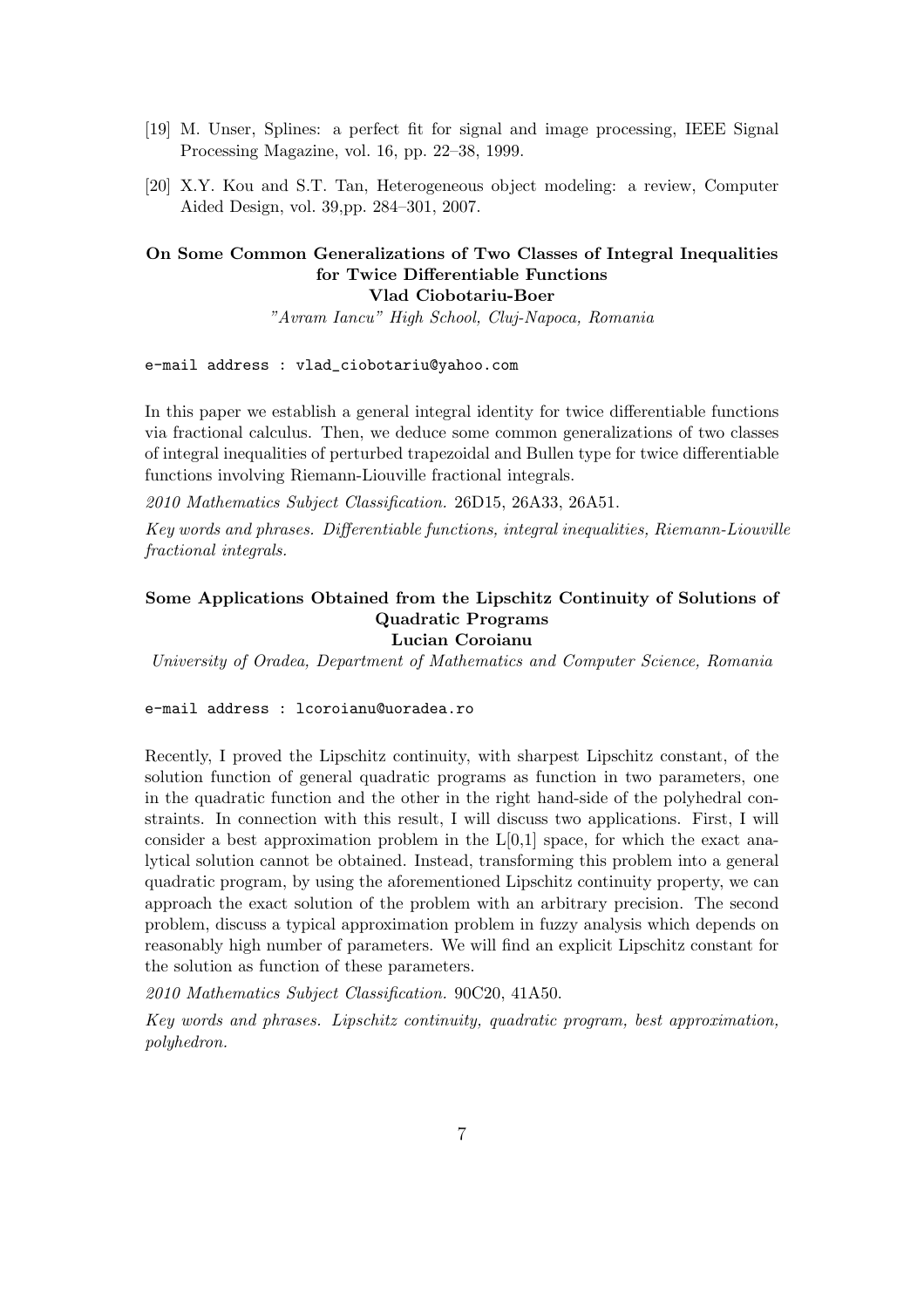- [19] M. Unser, Splines: a perfect fit for signal and image processing, IEEE Signal Processing Magazine, vol. 16, pp. 22–38, 1999.
- [20] X.Y. Kou and S.T. Tan, Heterogeneous object modeling: a review, Computer Aided Design, vol. 39,pp. 284–301, 2007.

#### On Some Common Generalizations of Two Classes of Integral Inequalities for Twice Differentiable Functions Vlad Ciobotariu-Boer

"Avram Iancu" High School, Cluj-Napoca, Romania

e-mail address : vlad\_ciobotariu@yahoo.com

In this paper we establish a general integral identity for twice differentiable functions via fractional calculus. Then, we deduce some common generalizations of two classes of integral inequalities of perturbed trapezoidal and Bullen type for twice differentiable functions involving Riemann-Liouville fractional integrals.

2010 Mathematics Subject Classification. 26D15, 26A33, 26A51.

Key words and phrases. Differentiable functions, integral inequalities, Riemann-Liouville fractional integrals.

### Some Applications Obtained from the Lipschitz Continuity of Solutions of Quadratic Programs

### Lucian Coroianu

University of Oradea, Department of Mathematics and Computer Science, Romania

#### e-mail address : lcoroianu@uoradea.ro

Recently, I proved the Lipschitz continuity, with sharpest Lipschitz constant, of the solution function of general quadratic programs as function in two parameters, one in the quadratic function and the other in the right hand-side of the polyhedral constraints. In connection with this result, I will discuss two applications. First, I will consider a best approximation problem in the  $L[0,1]$  space, for which the exact analytical solution cannot be obtained. Instead, transforming this problem into a general quadratic program, by using the aforementioned Lipschitz continuity property, we can approach the exact solution of the problem with an arbitrary precision. The second problem, discuss a typical approximation problem in fuzzy analysis which depends on reasonably high number of parameters. We will find an explicit Lipschitz constant for the solution as function of these parameters.

2010 Mathematics Subject Classification. 90C20, 41A50.

Key words and phrases. Lipschitz continuity, quadratic program, best approximation, polyhedron.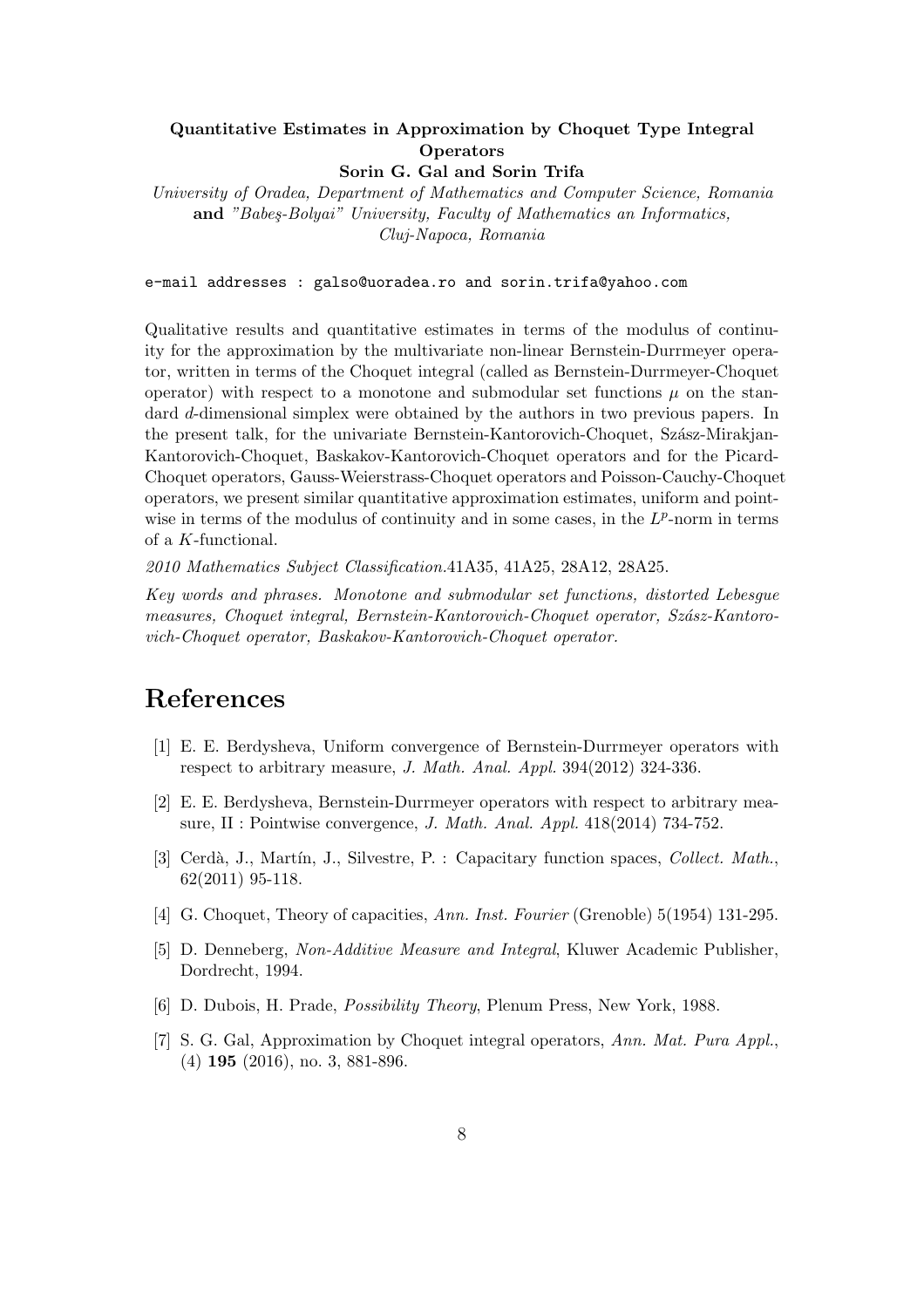### Quantitative Estimates in Approximation by Choquet Type Integral **Operators**

Sorin G. Gal and Sorin Trifa

University of Oradea, Department of Mathematics and Computer Science, Romania and "Babes-Bolyai" University, Faculty of Mathematics an Informatics, Cluj-Napoca, Romania

#### e-mail addresses : galso@uoradea.ro and sorin.trifa@yahoo.com

Qualitative results and quantitative estimates in terms of the modulus of continuity for the approximation by the multivariate non-linear Bernstein-Durrmeyer operator, written in terms of the Choquet integral (called as Bernstein-Durrmeyer-Choquet operator) with respect to a monotone and submodular set functions  $\mu$  on the standard d-dimensional simplex were obtained by the authors in two previous papers. In the present talk, for the univariate Bernstein-Kantorovich-Choquet, Szász-Mirakjan-Kantorovich-Choquet, Baskakov-Kantorovich-Choquet operators and for the Picard-Choquet operators, Gauss-Weierstrass-Choquet operators and Poisson-Cauchy-Choquet operators, we present similar quantitative approximation estimates, uniform and pointwise in terms of the modulus of continuity and in some cases, in the  $L^p$ -norm in terms of a K-functional.

2010 Mathematics Subject Classification.41A35, 41A25, 28A12, 28A25.

Key words and phrases. Monotone and submodular set functions, distorted Lebesgue measures, Choquet integral, Bernstein-Kantorovich-Choquet operator, Szász-Kantorovich-Choquet operator, Baskakov-Kantorovich-Choquet operator.

- [1] E. E. Berdysheva, Uniform convergence of Bernstein-Durrmeyer operators with respect to arbitrary measure, J. Math. Anal. Appl. 394(2012) 324-336.
- [2] E. E. Berdysheva, Bernstein-Durrmeyer operators with respect to arbitrary measure, II : Pointwise convergence, *J. Math. Anal. Appl.* 418(2014) 734-752.
- [3] Cerdà, J., Martín, J., Silvestre, P. : Capacitary function spaces, *Collect. Math.*, 62(2011) 95-118.
- [4] G. Choquet, Theory of capacities, Ann. Inst. Fourier (Grenoble) 5(1954) 131-295.
- [5] D. Denneberg, Non-Additive Measure and Integral, Kluwer Academic Publisher, Dordrecht, 1994.
- [6] D. Dubois, H. Prade, Possibility Theory, Plenum Press, New York, 1988.
- [7] S. G. Gal, Approximation by Choquet integral operators, Ann. Mat. Pura Appl., (4) 195 (2016), no. 3, 881-896.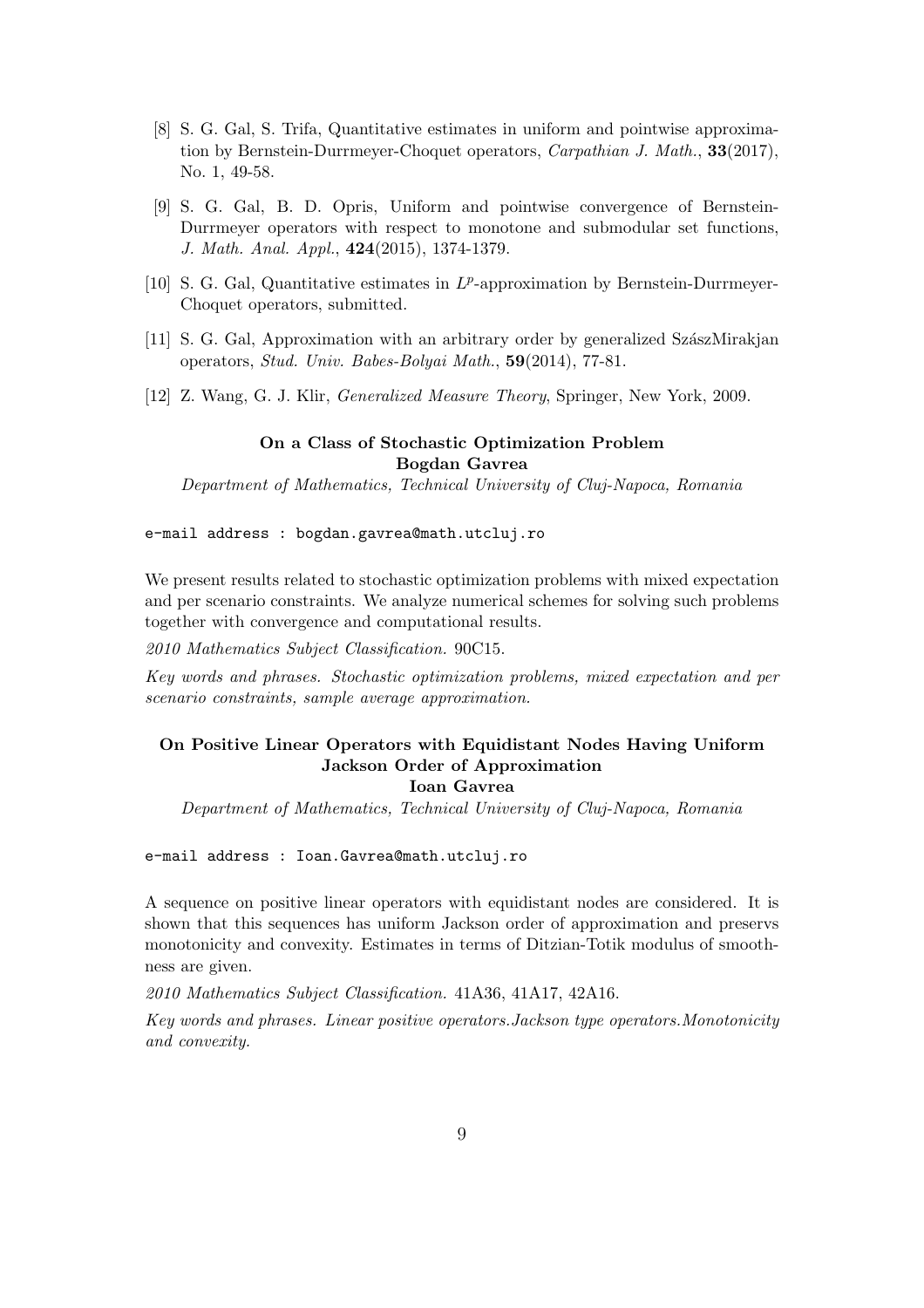- [8] S. G. Gal, S. Trifa, Quantitative estimates in uniform and pointwise approximation by Bernstein-Durrmeyer-Choquet operators, *Carpathian J. Math.*, **33**(2017), No. 1, 49-58.
- [9] S. G. Gal, B. D. Opris, Uniform and pointwise convergence of Bernstein-Durrmeyer operators with respect to monotone and submodular set functions, J. Math. Anal. Appl., 424(2015), 1374-1379.
- [10] S. G. Gal, Quantitative estimates in  $L^p$ -approximation by Bernstein-Durrmeyer-Choquet operators, submitted.
- [11] S. G. Gal, Approximation with an arbitrary order by generalized SzászMirakian operators, Stud. Univ. Babes-Bolyai Math., 59(2014), 77-81.
- [12] Z. Wang, G. J. Klir, Generalized Measure Theory, Springer, New York, 2009.

#### On a Class of Stochastic Optimization Problem Bogdan Gavrea

Department of Mathematics, Technical University of Cluj-Napoca, Romania

e-mail address : bogdan.gavrea@math.utcluj.ro

We present results related to stochastic optimization problems with mixed expectation and per scenario constraints. We analyze numerical schemes for solving such problems together with convergence and computational results.

2010 Mathematics Subject Classification. 90C15.

Key words and phrases. Stochastic optimization problems, mixed expectation and per scenario constraints, sample average approximation.

#### On Positive Linear Operators with Equidistant Nodes Having Uniform Jackson Order of Approximation Ioan Gavrea

Department of Mathematics, Technical University of Cluj-Napoca, Romania

e-mail address : Ioan.Gavrea@math.utcluj.ro

A sequence on positive linear operators with equidistant nodes are considered. It is shown that this sequences has uniform Jackson order of approximation and preservs monotonicity and convexity. Estimates in terms of Ditzian-Totik modulus of smoothness are given.

2010 Mathematics Subject Classification. 41A36, 41A17, 42A16.

Key words and phrases. Linear positive operators.Jackson type operators.Monotonicity and convexity.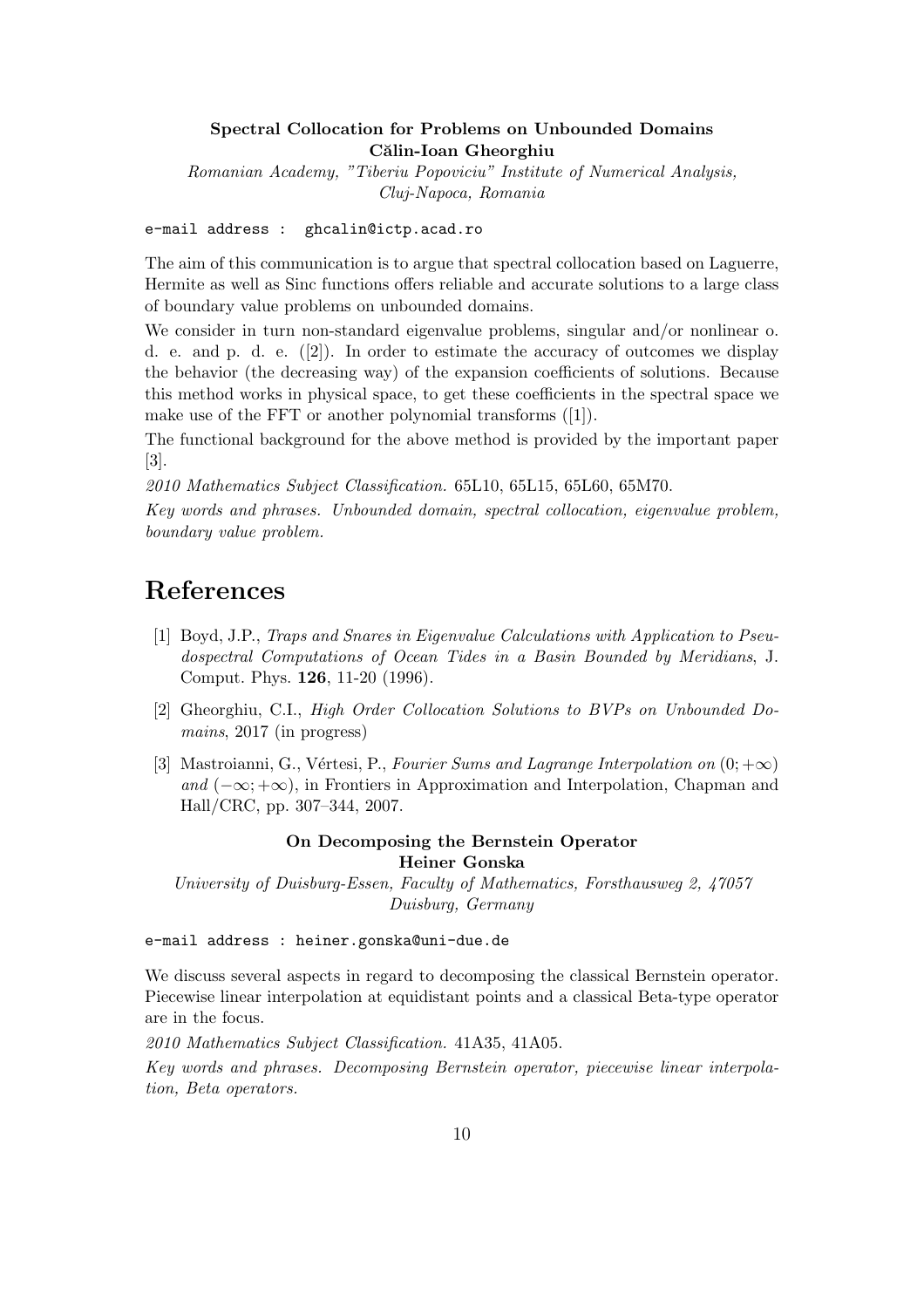#### Spectral Collocation for Problems on Unbounded Domains Călin-Ioan Gheorghiu

Romanian Academy, "Tiberiu Popoviciu" Institute of Numerical Analysis, Cluj-Napoca, Romania

e-mail address : ghcalin@ictp.acad.ro

The aim of this communication is to argue that spectral collocation based on Laguerre, Hermite as well as Sinc functions offers reliable and accurate solutions to a large class of boundary value problems on unbounded domains.

We consider in turn non-standard eigenvalue problems, singular and/or nonlinear o. d. e. and p. d. e. ([2]). In order to estimate the accuracy of outcomes we display the behavior (the decreasing way) of the expansion coefficients of solutions. Because this method works in physical space, to get these coefficients in the spectral space we make use of the FFT or another polynomial transforms ([1]).

The functional background for the above method is provided by the important paper [3].

2010 Mathematics Subject Classification. 65L10, 65L15, 65L60, 65M70.

Key words and phrases. Unbounded domain, spectral collocation, eigenvalue problem, boundary value problem.

# References

- [1] Boyd, J.P., Traps and Snares in Eigenvalue Calculations with Application to Pseudospectral Computations of Ocean Tides in a Basin Bounded by Meridians, J. Comput. Phys. 126, 11-20 (1996).
- [2] Gheorghiu, C.I., High Order Collocation Solutions to BVPs on Unbounded Domains, 2017 (in progress)
- [3] Mastroianni, G., Vértesi, P., Fourier Sums and Lagrange Interpolation on  $(0; +\infty)$ and  $(-\infty; +\infty)$ , in Frontiers in Approximation and Interpolation, Chapman and Hall/CRC, pp. 307–344, 2007.

#### On Decomposing the Bernstein Operator Heiner Gonska

University of Duisburg-Essen, Faculty of Mathematics, Forsthausweg 2, 47057 Duisburg, Germany

e-mail address : heiner.gonska@uni-due.de

We discuss several aspects in regard to decomposing the classical Bernstein operator. Piecewise linear interpolation at equidistant points and a classical Beta-type operator are in the focus.

2010 Mathematics Subject Classification. 41A35, 41A05.

Key words and phrases. Decomposing Bernstein operator, piecewise linear interpolation, Beta operators.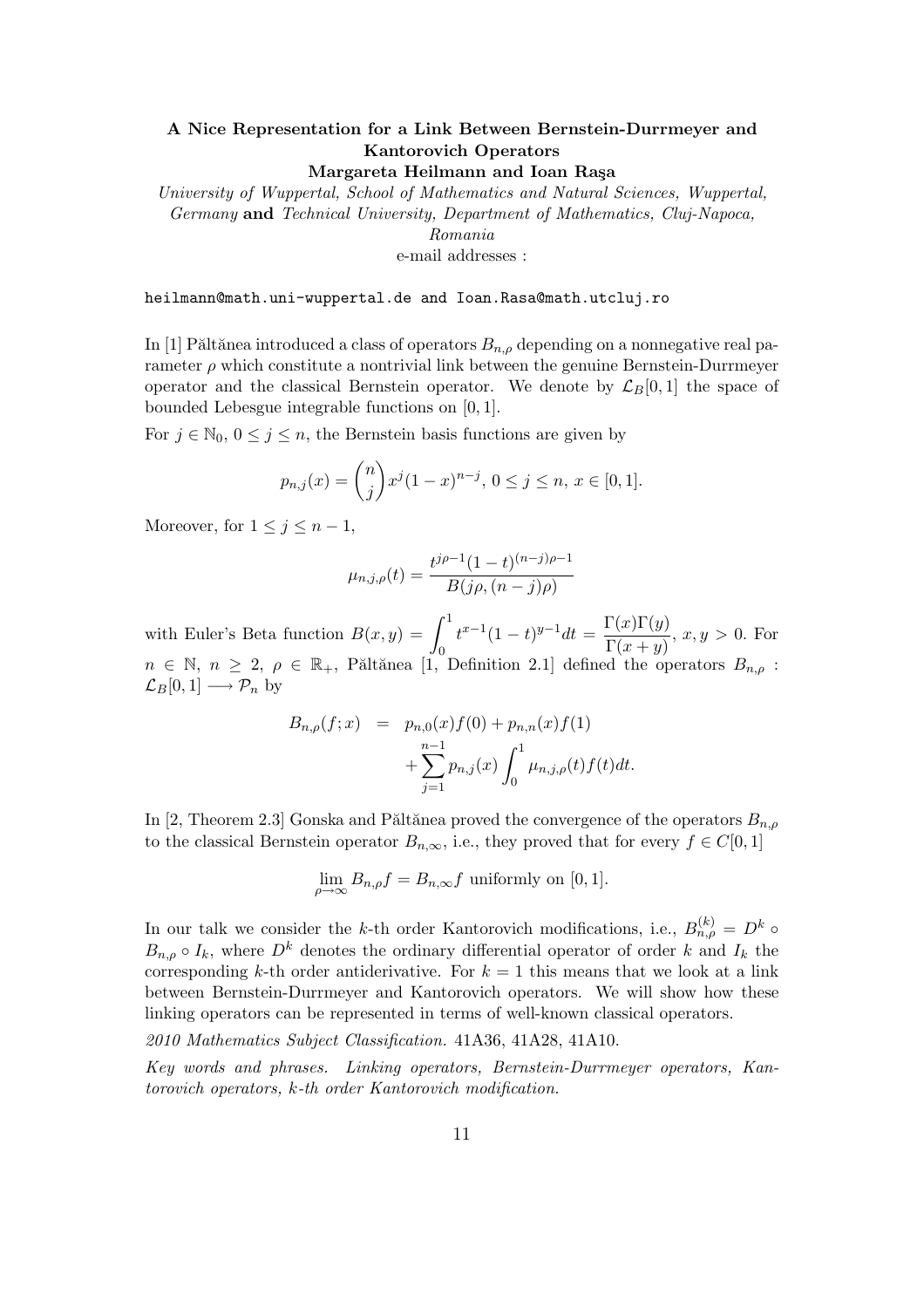### A Nice Representation for a Link Between Bernstein-Durrmeyer and Kantorovich Operators

Margareta Heilmann and Ioan Raşa

University of Wuppertal, School of Mathematics and Natural Sciences, Wuppertal, Germany and Technical University, Department of Mathematics, Cluj-Napoca, Romania e-mail addresses :

heilmann@math.uni-wuppertal.de and Ioan.Rasa@math.utcluj.ro

In [1] Păltănea introduced a class of operators  $B_{n,\rho}$  depending on a nonnegative real parameter  $\rho$  which constitute a nontrivial link between the genuine Bernstein-Durrmeyer operator and the classical Bernstein operator. We denote by  $\mathcal{L}_B[0,1]$  the space of bounded Lebesgue integrable functions on [0, 1].

For  $j \in \mathbb{N}_0$ ,  $0 \leq j \leq n$ , the Bernstein basis functions are given by

$$
p_{n,j}(x) = \binom{n}{j} x^j (1-x)^{n-j}, \ 0 \le j \le n, \ x \in [0,1].
$$

Moreover, for  $1 \leq j \leq n-1$ ,

$$
\mu_{n,j,\rho}(t) = \frac{t^{j\rho - 1}(1 - t)^{(n-j)\rho - 1}}{B(j\rho, (n-j)\rho)}
$$

with Euler's Beta function  $B(x, y) = \int_0^1$ 0  $t^{x-1}(1-t)^{y-1}dt = \frac{\Gamma(x)\Gamma(y)}{\Gamma(x)}$  $\frac{\Gamma(x) \Gamma(y)}{\Gamma(x+y)}$ ,  $x, y > 0$ . For  $n \in \mathbb{N}, n \geq 2, \rho \in \mathbb{R}_+$ , Păltănea [1, Definition 2.1] defined the operators  $B_{n,\rho}$ :  $\mathcal{L}_B[0,1] \longrightarrow \mathcal{P}_n$  by

$$
B_{n,\rho}(f;x) = p_{n,0}(x)f(0) + p_{n,n}(x)f(1) + \sum_{j=1}^{n-1} p_{n,j}(x) \int_0^1 \mu_{n,j,\rho}(t)f(t)dt.
$$

In [2, Theorem 2.3] Gonska and Păltănea proved the convergence of the operators  $B_{n,\rho}$ to the classical Bernstein operator  $B_{n,\infty}$ , i.e., they proved that for every  $f \in C[0,1]$ 

$$
\lim_{\rho \to \infty} B_{n,\rho} f = B_{n,\infty} f
$$
 uniformly on [0,1].

In our talk we consider the k-th order Kantorovich modifications, i.e.,  $B_{n,\rho}^{(k)} = D^k \circ$  $B_{n,\rho} \circ I_k$ , where  $D^k$  denotes the ordinary differential operator of order k and  $I_k$  the corresponding k-th order antiderivative. For  $k = 1$  this means that we look at a link between Bernstein-Durrmeyer and Kantorovich operators. We will show how these linking operators can be represented in terms of well-known classical operators.

2010 Mathematics Subject Classification. 41A36, 41A28, 41A10.

Key words and phrases. Linking operators, Bernstein-Durrmeyer operators, Kantorovich operators, k-th order Kantorovich modification.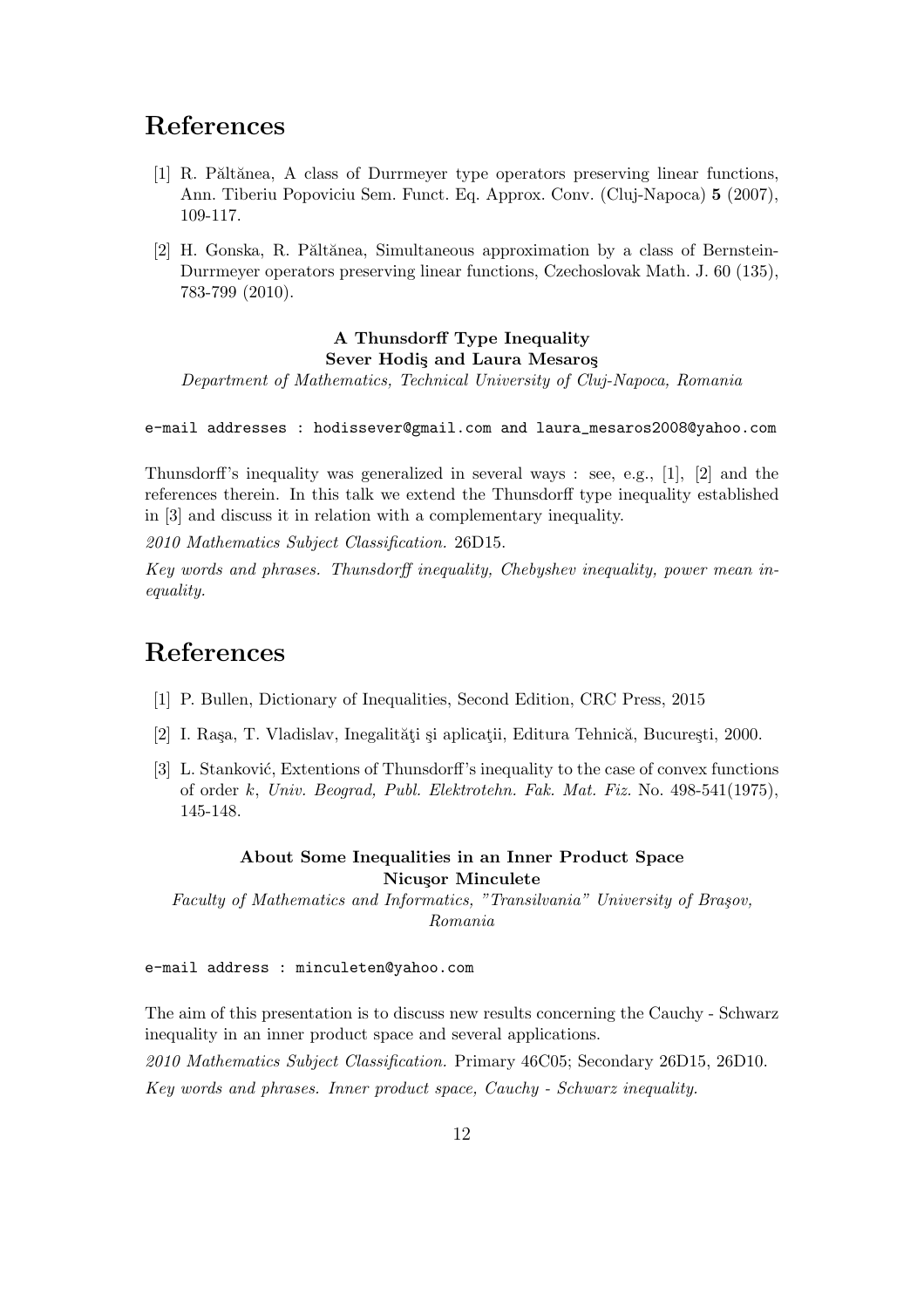## References

- [1] R. Păltănea, A class of Durrmeyer type operators preserving linear functions, Ann. Tiberiu Popoviciu Sem. Funct. Eq. Approx. Conv. (Cluj-Napoca) 5 (2007), 109-117.
- [2] H. Gonska, R. Păltănea, Simultaneous approximation by a class of Bernstein-Durrmeyer operators preserving linear functions, Czechoslovak Math. J. 60 (135), 783-799 (2010).

### A Thunsdorff Type Inequality Sever Hodis and Laura Mesaros

Department of Mathematics, Technical University of Cluj-Napoca, Romania

e-mail addresses : hodissever@gmail.com and laura\_mesaros2008@yahoo.com

Thunsdorff's inequality was generalized in several ways : see, e.g., [1], [2] and the references therein. In this talk we extend the Thunsdorff type inequality established in [3] and discuss it in relation with a complementary inequality.

2010 Mathematics Subject Classification. 26D15.

Key words and phrases. Thunsdorff inequality, Chebyshev inequality, power mean inequality.

# References

- [1] P. Bullen, Dictionary of Inequalities, Second Edition, CRC Press, 2015
- [2] I. Rașa, T. Vladislav, Inegalități și aplicații, Editura Tehnică, București, 2000.
- [3] L. Stanković, Extentions of Thunsdorff's inequality to the case of convex functions of order k, Univ. Beograd, Publ. Elektrotehn. Fak. Mat. Fiz. No. 498-541(1975), 145-148.

#### About Some Inequalities in an Inner Product Space Nicusor Minculete

Faculty of Mathematics and Informatics, "Transilvania" University of Brașov, Romania

e-mail address : minculeten@yahoo.com

The aim of this presentation is to discuss new results concerning the Cauchy - Schwarz inequality in an inner product space and several applications.

2010 Mathematics Subject Classification. Primary 46C05; Secondary 26D15, 26D10. Key words and phrases. Inner product space, Cauchy - Schwarz inequality.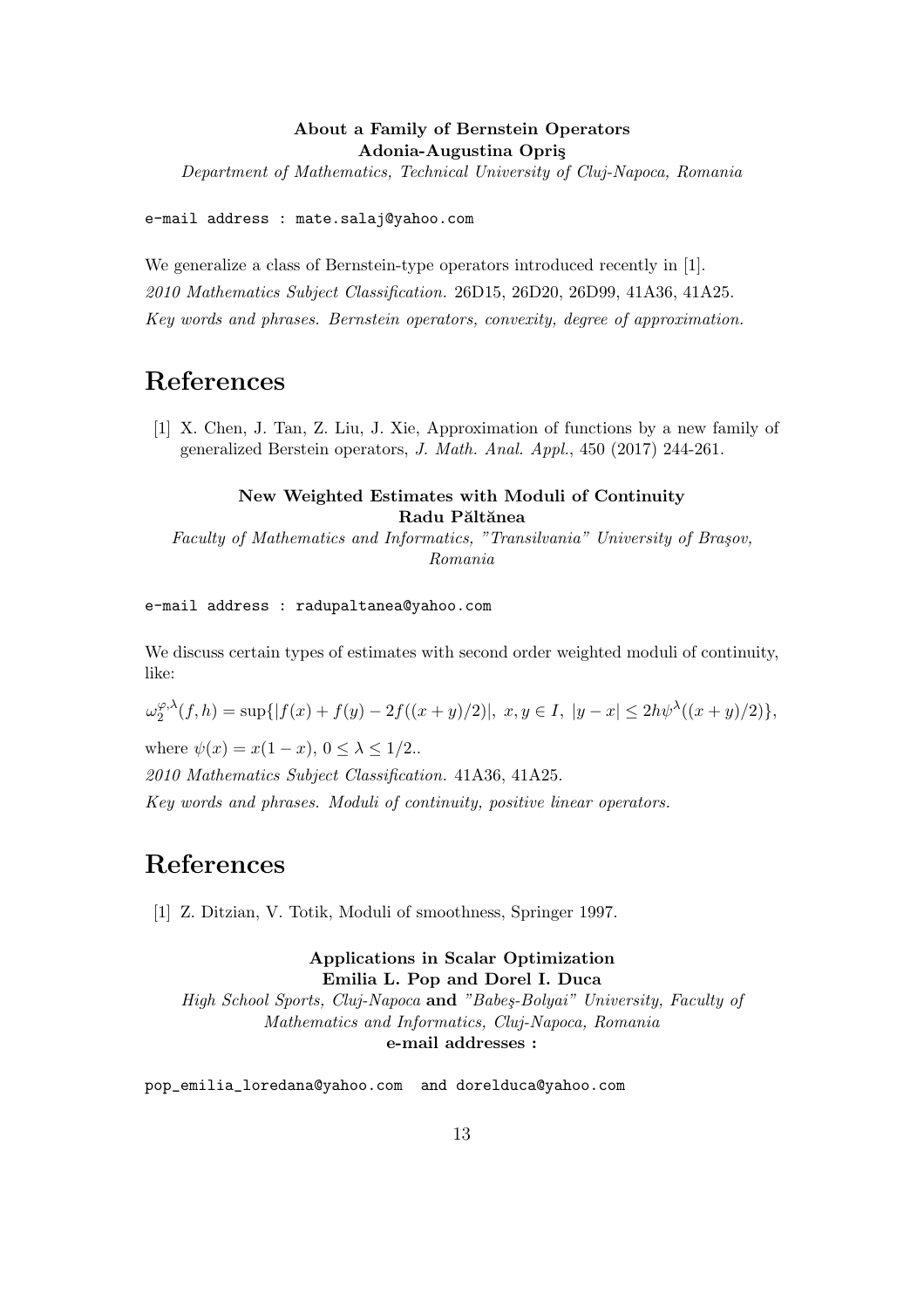### About a Family of Bernstein Operators Adonia-Augustina Opriş

Department of Mathematics, Technical University of Cluj-Napoca, Romania

e-mail address : mate.salaj@yahoo.com

We generalize a class of Bernstein-type operators introduced recently in [1]. 2010 Mathematics Subject Classification. 26D15, 26D20, 26D99, 41A36, 41A25. Key words and phrases. Bernstein operators, convexity, degree of approximation.

## References

[1] X. Chen, J. Tan, Z. Liu, J. Xie, Approximation of functions by a new family of generalized Berstein operators, J. Math. Anal. Appl., 450 (2017) 244-261.

### New Weighted Estimates with Moduli of Continuity Radu Păltănea

Faculty of Mathematics and Informatics, "Transilvania" University of Brașov, Romania

#### e-mail address : radupaltanea@yahoo.com

We discuss certain types of estimates with second order weighted moduli of continuity, like:

 $\omega^{\varphi, \lambda}_2$  $2^{\varphi,\lambda}(f,h) = \sup\{|f(x) + f(y) - 2f((x+y)/2)|, x, y \in I, |y-x| \le 2h\psi^{\lambda}((x+y)/2)\},$ 

where  $\psi(x) = x(1-x)$ ,  $0 \leq \lambda \leq 1/2$ .

2010 Mathematics Subject Classification. 41A36, 41A25.

Key words and phrases. Moduli of continuity, positive linear operators.

# References

[1] Z. Ditzian, V. Totik, Moduli of smoothness, Springer 1997.

#### Applications in Scalar Optimization Emilia L. Pop and Dorel I. Duca

High School Sports, Cluj-Napoca and "Babeş-Bolyai" University, Faculty of Mathematics and Informatics, Cluj-Napoca, Romania e-mail addresses :

pop\_emilia\_loredana@yahoo.com and dorelduca@yahoo.com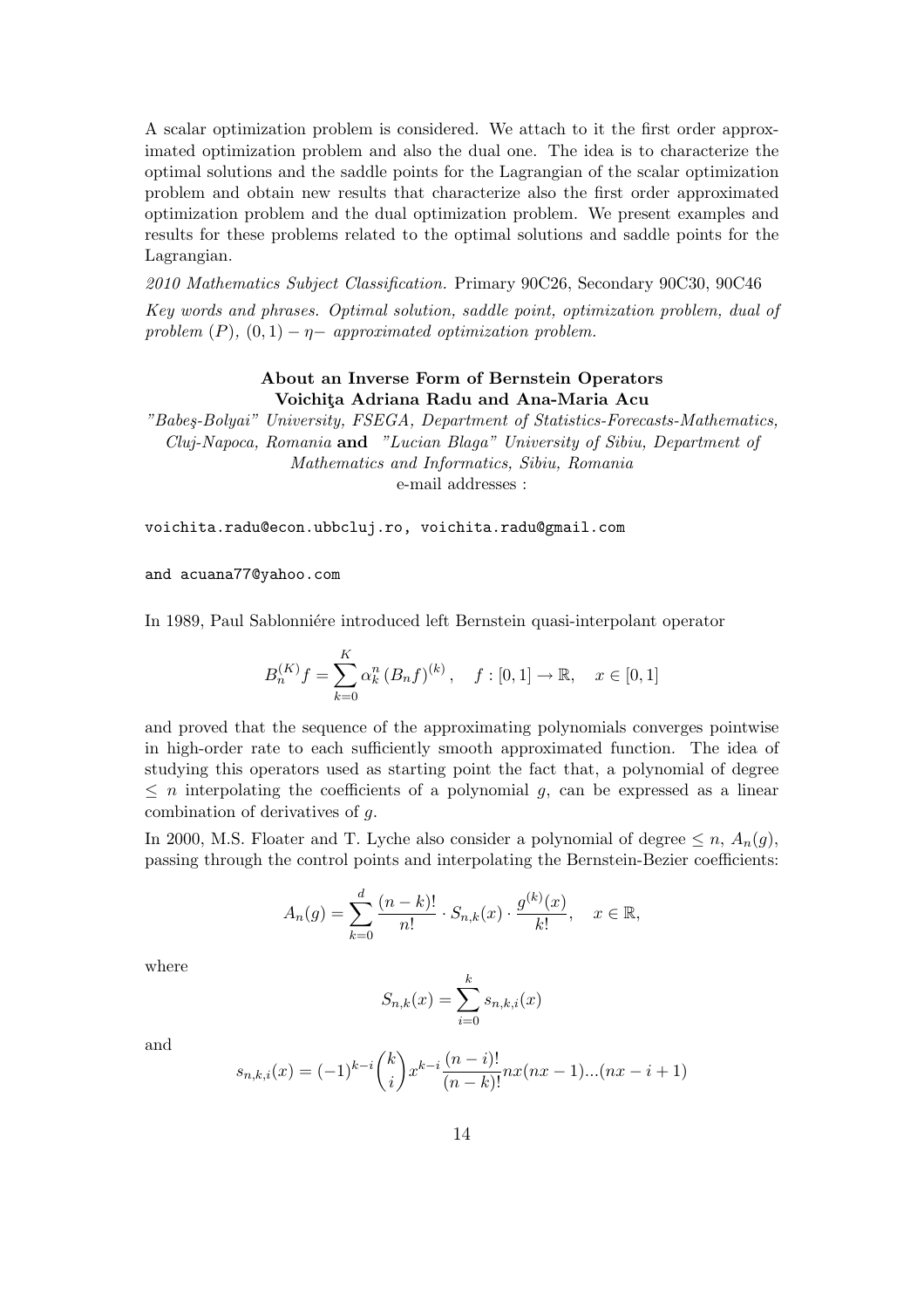A scalar optimization problem is considered. We attach to it the first order approximated optimization problem and also the dual one. The idea is to characterize the optimal solutions and the saddle points for the Lagrangian of the scalar optimization problem and obtain new results that characterize also the first order approximated optimization problem and the dual optimization problem. We present examples and results for these problems related to the optimal solutions and saddle points for the Lagrangian.

2010 Mathematics Subject Classification. Primary 90C26, Secondary 90C30, 90C46 Key words and phrases. Optimal solution, saddle point, optimization problem, dual of problem  $(P)$ ,  $(0, 1) - \eta$  approximated optimization problem.

#### About an Inverse Form of Bernstein Operators Voichita Adriana Radu and Ana-Maria Acu

"Babe¸s-Bolyai" University, FSEGA, Department of Statistics-Forecasts-Mathematics, Cluj-Napoca, Romania and "Lucian Blaga" University of Sibiu, Department of Mathematics and Informatics, Sibiu, Romania e-mail addresses :

voichita.radu@econ.ubbcluj.ro, voichita.radu@gmail.com

and acuana77@yahoo.com

In 1989, Paul Sablonnière introduced left Bernstein quasi-interpolant operator

$$
B_n^{(K)}f = \sum_{k=0}^K \alpha_k^n (B_nf)^{(k)}, \quad f : [0,1] \to \mathbb{R}, \quad x \in [0,1]
$$

and proved that the sequence of the approximating polynomials converges pointwise in high-order rate to each sufficiently smooth approximated function. The idea of studying this operators used as starting point the fact that, a polynomial of degree  $\leq n$  interpolating the coefficients of a polynomial q, can be expressed as a linear combination of derivatives of g.

In 2000, M.S. Floater and T. Lyche also consider a polynomial of degree  $\leq n$ ,  $A_n(g)$ , passing through the control points and interpolating the Bernstein-Bezier coefficients:

$$
A_n(g) = \sum_{k=0}^d \frac{(n-k)!}{n!} \cdot S_{n,k}(x) \cdot \frac{g^{(k)}(x)}{k!}, \quad x \in \mathbb{R},
$$

where

$$
S_{n,k}(x) = \sum_{i=0}^{k} s_{n,k,i}(x)
$$

and

$$
s_{n,k,i}(x) = (-1)^{k-i} \binom{k}{i} x^{k-i} \frac{(n-i)!}{(n-k)!} n x(nx-1)...(nx-i+1)
$$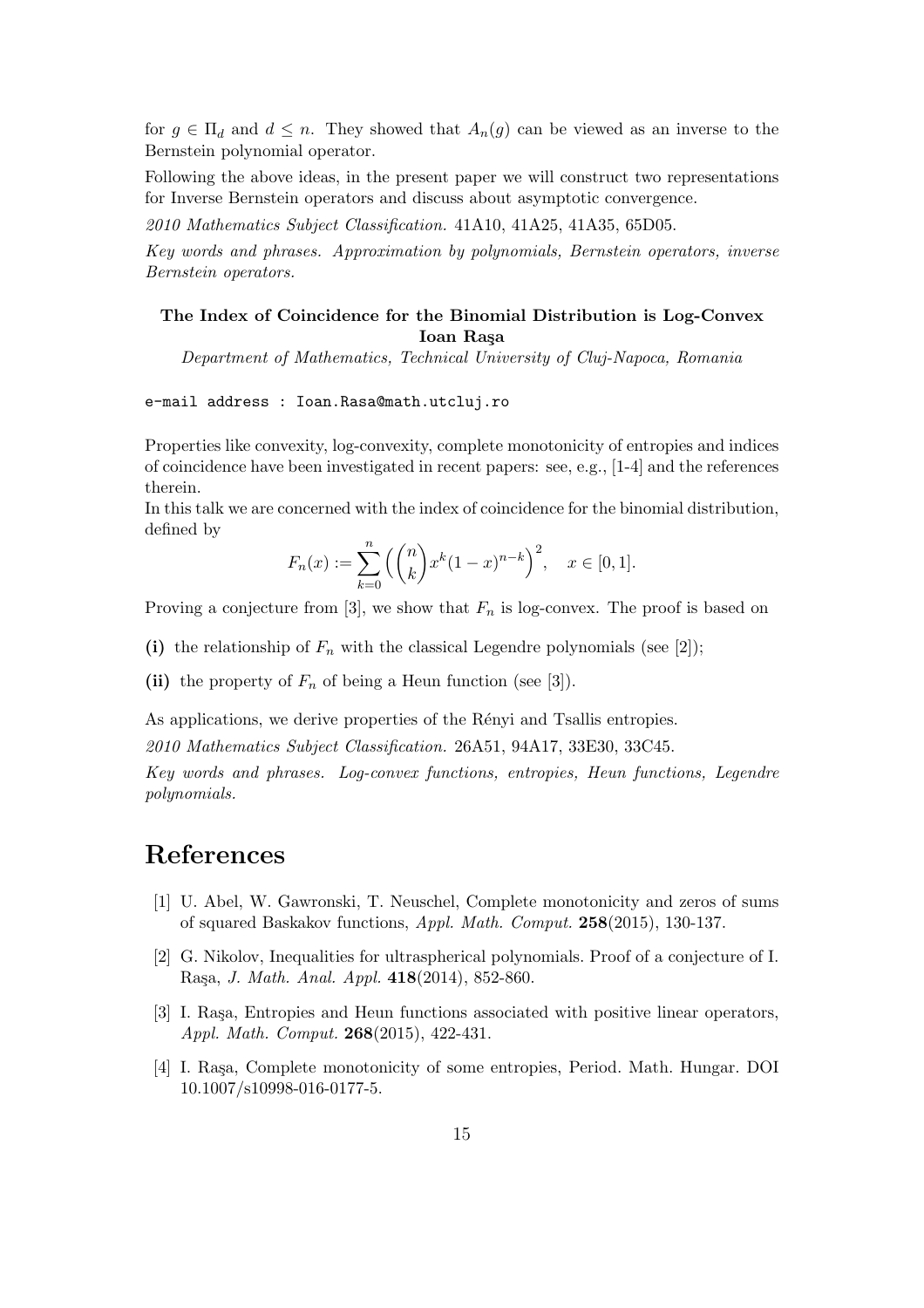for  $g \in \Pi_d$  and  $d \leq n$ . They showed that  $A_n(g)$  can be viewed as an inverse to the Bernstein polynomial operator.

Following the above ideas, in the present paper we will construct two representations for Inverse Bernstein operators and discuss about asymptotic convergence.

2010 Mathematics Subject Classification. 41A10, 41A25, 41A35, 65D05.

Key words and phrases. Approximation by polynomials, Bernstein operators, inverse Bernstein operators.

### The Index of Coincidence for the Binomial Distribution is Log-Convex Ioan Raşa

Department of Mathematics, Technical University of Cluj-Napoca, Romania

e-mail address : Ioan.Rasa@math.utcluj.ro

Properties like convexity, log-convexity, complete monotonicity of entropies and indices of coincidence have been investigated in recent papers: see, e.g., [1-4] and the references therein.

In this talk we are concerned with the index of coincidence for the binomial distribution, defined by  $\mathbf{r}$ 

$$
F_n(x) := \sum_{k=0}^n \left( \binom{n}{k} x^k (1-x)^{n-k} \right)^2, \quad x \in [0,1].
$$

Proving a conjecture from [3], we show that  $F_n$  is log-convex. The proof is based on

- (i) the relationship of  $F_n$  with the classical Legendre polynomials (see [2]);
- (ii) the property of  $F_n$  of being a Heun function (see [3]).

As applications, we derive properties of the Rényi and Tsallis entropies.

2010 Mathematics Subject Classification. 26A51, 94A17, 33E30, 33C45.

Key words and phrases. Log-convex functions, entropies, Heun functions, Legendre polynomials.

- [1] U. Abel, W. Gawronski, T. Neuschel, Complete monotonicity and zeros of sums of squared Baskakov functions, Appl. Math. Comput. 258(2015), 130-137.
- [2] G. Nikolov, Inequalities for ultraspherical polynomials. Proof of a conjecture of I. Ra¸sa, J. Math. Anal. Appl. 418(2014), 852-860.
- [3] I. Rașa, Entropies and Heun functions associated with positive linear operators, Appl. Math. Comput. 268(2015), 422-431.
- [4] I. Rașa, Complete monotonicity of some entropies, Period. Math. Hungar. DOI 10.1007/s10998-016-0177-5.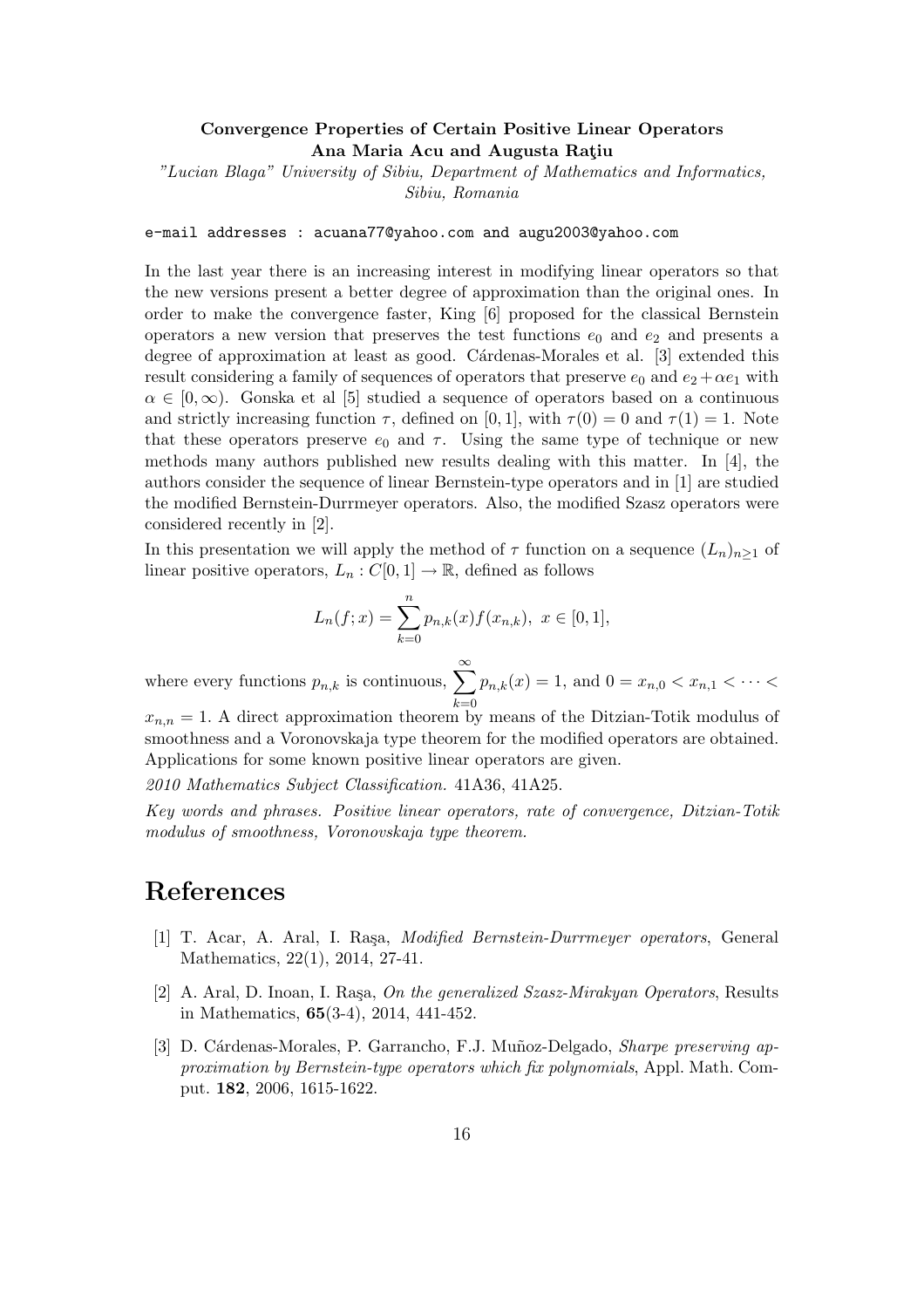#### Convergence Properties of Certain Positive Linear Operators Ana Maria Acu and Augusta Ratiu

"Lucian Blaga" University of Sibiu, Department of Mathematics and Informatics, Sibiu, Romania

e-mail addresses : acuana77@yahoo.com and augu2003@yahoo.com

In the last year there is an increasing interest in modifying linear operators so that the new versions present a better degree of approximation than the original ones. In order to make the convergence faster, King [6] proposed for the classical Bernstein operators a new version that preserves the test functions  $e_0$  and  $e_2$  and presents a degree of approximation at least as good. Cárdenas-Morales et al. [3] extended this result considering a family of sequences of operators that preserve  $e_0$  and  $e_2 + \alpha e_1$  with  $\alpha \in [0,\infty)$ . Gonska et al [5] studied a sequence of operators based on a continuous and strictly increasing function  $\tau$ , defined on [0, 1], with  $\tau(0) = 0$  and  $\tau(1) = 1$ . Note that these operators preserve  $e_0$  and  $\tau$ . Using the same type of technique or new methods many authors published new results dealing with this matter. In [4], the authors consider the sequence of linear Bernstein-type operators and in [1] are studied the modified Bernstein-Durrmeyer operators. Also, the modified Szasz operators were considered recently in [2].

In this presentation we will apply the method of  $\tau$  function on a sequence  $(L_n)_{n>1}$  of linear positive operators,  $L_n : C[0,1] \to \mathbb{R}$ , defined as follows

$$
L_n(f; x) = \sum_{k=0}^n p_{n,k}(x) f(x_{n,k}), \ x \in [0,1],
$$

where every functions  $p_{n,k}$  is continuous,  $\sum_{n=1}^{\infty}$  $_{k=0}$  $p_{n,k}(x) = 1$ , and  $0 = x_{n,0} < x_{n,1} < \cdots <$ 

 $x_{n,n} = 1$ . A direct approximation theorem by means of the Ditzian-Totik modulus of smoothness and a Voronovskaja type theorem for the modified operators are obtained. Applications for some known positive linear operators are given.

2010 Mathematics Subject Classification. 41A36, 41A25.

Key words and phrases. Positive linear operators, rate of convergence, Ditzian-Totik modulus of smoothness, Voronovskaja type theorem.

- [1] T. Acar, A. Aral, I. Raşa, *Modified Bernstein-Durrmeyer operators*, General Mathematics, 22(1), 2014, 27-41.
- [2] A. Aral, D. Inoan, I. Rasa, On the generalized  $Sz$  as  $Niraky$ an Operators, Results in Mathematics, 65(3-4), 2014, 441-452.
- [3] D. Cárdenas-Morales, P. Garrancho, F.J. Muñoz-Delgado, *Sharpe preserving ap*proximation by Bernstein-type operators which fix polynomials, Appl. Math. Comput. 182, 2006, 1615-1622.